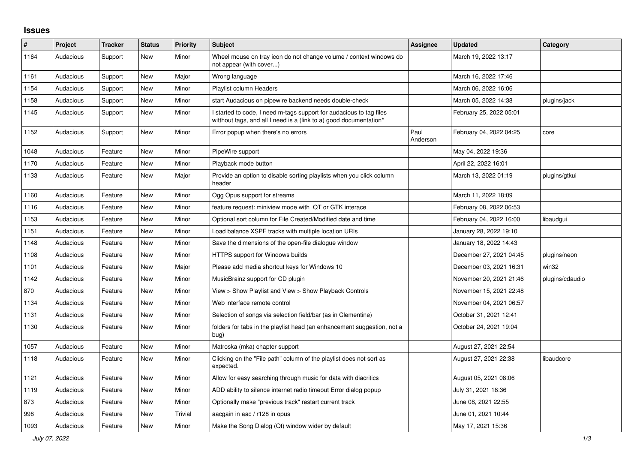## **Issues**

| ∦    | Project   | <b>Tracker</b> | <b>Status</b> | <b>Priority</b> | <b>Subject</b>                                                                                                                            | Assignee         | <b>Updated</b>          | Category        |
|------|-----------|----------------|---------------|-----------------|-------------------------------------------------------------------------------------------------------------------------------------------|------------------|-------------------------|-----------------|
| 1164 | Audacious | Support        | <b>New</b>    | Minor           | Wheel mouse on tray icon do not change volume / context windows do<br>not appear (with cover)                                             |                  | March 19, 2022 13:17    |                 |
| 1161 | Audacious | Support        | New           | Major           | Wrong language                                                                                                                            |                  | March 16, 2022 17:46    |                 |
| 1154 | Audacious | Support        | New           | Minor           | Playlist column Headers                                                                                                                   |                  | March 06, 2022 16:06    |                 |
| 1158 | Audacious | Support        | <b>New</b>    | Minor           | start Audacious on pipewire backend needs double-check                                                                                    |                  | March 05, 2022 14:38    | plugins/jack    |
| 1145 | Audacious | Support        | New           | Minor           | I started to code, I need m-tags support for audacious to tag files<br>witthout tags, and all I need is a (link to a) good documentation* |                  | February 25, 2022 05:01 |                 |
| 1152 | Audacious | Support        | New           | Minor           | Error popup when there's no errors                                                                                                        | Paul<br>Anderson | February 04, 2022 04:25 | core            |
| 1048 | Audacious | Feature        | New           | Minor           | PipeWire support                                                                                                                          |                  | May 04, 2022 19:36      |                 |
| 1170 | Audacious | Feature        | New           | Minor           | Playback mode button                                                                                                                      |                  | April 22, 2022 16:01    |                 |
| 1133 | Audacious | Feature        | <b>New</b>    | Major           | Provide an option to disable sorting playlists when you click column<br>header                                                            |                  | March 13, 2022 01:19    | plugins/gtkui   |
| 1160 | Audacious | Feature        | New           | Minor           | Ogg Opus support for streams                                                                                                              |                  | March 11, 2022 18:09    |                 |
| 1116 | Audacious | Feature        | New           | Minor           | feature request: miniview mode with QT or GTK interace                                                                                    |                  | February 08, 2022 06:53 |                 |
| 1153 | Audacious | Feature        | <b>New</b>    | Minor           | Optional sort column for File Created/Modified date and time                                                                              |                  | February 04, 2022 16:00 | libaudgui       |
| 1151 | Audacious | Feature        | <b>New</b>    | Minor           | Load balance XSPF tracks with multiple location URIs                                                                                      |                  | January 28, 2022 19:10  |                 |
| 1148 | Audacious | Feature        | <b>New</b>    | Minor           | Save the dimensions of the open-file dialogue window                                                                                      |                  | January 18, 2022 14:43  |                 |
| 1108 | Audacious | Feature        | New           | Minor           | HTTPS support for Windows builds                                                                                                          |                  | December 27, 2021 04:45 | plugins/neon    |
| 1101 | Audacious | Feature        | New           | Major           | Please add media shortcut keys for Windows 10                                                                                             |                  | December 03, 2021 16:31 | win32           |
| 1142 | Audacious | Feature        | <b>New</b>    | Minor           | MusicBrainz support for CD plugin                                                                                                         |                  | November 20, 2021 21:46 | plugins/cdaudio |
| 870  | Audacious | Feature        | <b>New</b>    | Minor           | View > Show Playlist and View > Show Playback Controls                                                                                    |                  | November 15, 2021 22:48 |                 |
| 1134 | Audacious | Feature        | New           | Minor           | Web interface remote control                                                                                                              |                  | November 04, 2021 06:57 |                 |
| 1131 | Audacious | Feature        | <b>New</b>    | Minor           | Selection of songs via selection field/bar (as in Clementine)                                                                             |                  | October 31, 2021 12:41  |                 |
| 1130 | Audacious | Feature        | New           | Minor           | folders for tabs in the playlist head (an enhancement suggestion, not a<br>bug)                                                           |                  | October 24, 2021 19:04  |                 |
| 1057 | Audacious | Feature        | <b>New</b>    | Minor           | Matroska (mka) chapter support                                                                                                            |                  | August 27, 2021 22:54   |                 |
| 1118 | Audacious | Feature        | New           | Minor           | Clicking on the "File path" column of the playlist does not sort as<br>expected.                                                          |                  | August 27, 2021 22:38   | libaudcore      |
| 1121 | Audacious | Feature        | <b>New</b>    | Minor           | Allow for easy searching through music for data with diacritics                                                                           |                  | August 05, 2021 08:06   |                 |
| 1119 | Audacious | Feature        | New           | Minor           | ADD ability to silence internet radio timeout Error dialog popup                                                                          |                  | July 31, 2021 18:36     |                 |
| 873  | Audacious | Feature        | New           | Minor           | Optionally make "previous track" restart current track                                                                                    |                  | June 08, 2021 22:55     |                 |
| 998  | Audacious | Feature        | New           | Trivial         | aacgain in aac / r128 in opus                                                                                                             |                  | June 01, 2021 10:44     |                 |
| 1093 | Audacious | Feature        | <b>New</b>    | Minor           | Make the Song Dialog (Qt) window wider by default                                                                                         |                  | May 17, 2021 15:36      |                 |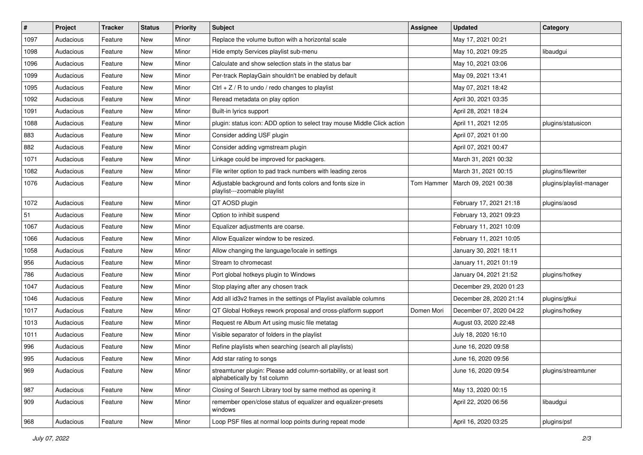| $\vert$ # | Project   | <b>Tracker</b> | <b>Status</b> | <b>Priority</b> | <b>Subject</b>                                                                                      | <b>Assignee</b> | <b>Updated</b>          | Category                 |
|-----------|-----------|----------------|---------------|-----------------|-----------------------------------------------------------------------------------------------------|-----------------|-------------------------|--------------------------|
| 1097      | Audacious | Feature        | New           | Minor           | Replace the volume button with a horizontal scale                                                   |                 | May 17, 2021 00:21      |                          |
| 1098      | Audacious | Feature        | <b>New</b>    | Minor           | Hide empty Services playlist sub-menu                                                               |                 | May 10, 2021 09:25      | libaudgui                |
| 1096      | Audacious | Feature        | New           | Minor           | Calculate and show selection stats in the status bar                                                |                 | May 10, 2021 03:06      |                          |
| 1099      | Audacious | Feature        | New           | Minor           | Per-track ReplayGain shouldn't be enabled by default                                                |                 | May 09, 2021 13:41      |                          |
| 1095      | Audacious | Feature        | <b>New</b>    | Minor           | Ctrl $+$ Z / R to undo / redo changes to playlist                                                   |                 | May 07, 2021 18:42      |                          |
| 1092      | Audacious | Feature        | New           | Minor           | Reread metadata on play option                                                                      |                 | April 30, 2021 03:35    |                          |
| 1091      | Audacious | Feature        | New           | Minor           | Built-in lyrics support                                                                             |                 | April 28, 2021 18:24    |                          |
| 1088      | Audacious | Feature        | New           | Minor           | plugin: status icon: ADD option to select tray mouse Middle Click action                            |                 | April 11, 2021 12:05    | plugins/statusicon       |
| 883       | Audacious | Feature        | New           | Minor           | Consider adding USF plugin                                                                          |                 | April 07, 2021 01:00    |                          |
| 882       | Audacious | Feature        | New           | Minor           | Consider adding vgmstream plugin                                                                    |                 | April 07, 2021 00:47    |                          |
| 1071      | Audacious | Feature        | New           | Minor           | Linkage could be improved for packagers.                                                            |                 | March 31, 2021 00:32    |                          |
| 1082      | Audacious | Feature        | New           | Minor           | File writer option to pad track numbers with leading zeros                                          |                 | March 31, 2021 00:15    | plugins/filewriter       |
| 1076      | Audacious | Feature        | New           | Minor           | Adjustable background and fonts colors and fonts size in<br>playlist---zoomable playlist            | Tom Hammer      | March 09, 2021 00:38    | plugins/playlist-manager |
| 1072      | Audacious | Feature        | New           | Minor           | QT AOSD plugin                                                                                      |                 | February 17, 2021 21:18 | plugins/aosd             |
| 51        | Audacious | Feature        | New           | Minor           | Option to inhibit suspend                                                                           |                 | February 13, 2021 09:23 |                          |
| 1067      | Audacious | Feature        | New           | Minor           | Equalizer adjustments are coarse.                                                                   |                 | February 11, 2021 10:09 |                          |
| 1066      | Audacious | Feature        | New           | Minor           | Allow Equalizer window to be resized.                                                               |                 | February 11, 2021 10:05 |                          |
| 1058      | Audacious | Feature        | New           | Minor           | Allow changing the language/locale in settings                                                      |                 | January 30, 2021 18:11  |                          |
| 956       | Audacious | Feature        | New           | Minor           | Stream to chromecast                                                                                |                 | January 11, 2021 01:19  |                          |
| 786       | Audacious | Feature        | New           | Minor           | Port global hotkeys plugin to Windows                                                               |                 | January 04, 2021 21:52  | plugins/hotkey           |
| 1047      | Audacious | Feature        | New           | Minor           | Stop playing after any chosen track                                                                 |                 | December 29, 2020 01:23 |                          |
| 1046      | Audacious | Feature        | <b>New</b>    | Minor           | Add all id3v2 frames in the settings of Playlist available columns                                  |                 | December 28, 2020 21:14 | plugins/gtkui            |
| 1017      | Audacious | Feature        | New           | Minor           | QT Global Hotkeys rework proposal and cross-platform support                                        | Domen Mori      | December 07, 2020 04:22 | plugins/hotkey           |
| 1013      | Audacious | Feature        | New           | Minor           | Request re Album Art using music file metatag                                                       |                 | August 03, 2020 22:48   |                          |
| 1011      | Audacious | Feature        | New           | Minor           | Visible separator of folders in the playlist                                                        |                 | July 18, 2020 16:10     |                          |
| 996       | Audacious | Feature        | New           | Minor           | Refine playlists when searching (search all playlists)                                              |                 | June 16, 2020 09:58     |                          |
| 995       | Audacious | Feature        | <b>New</b>    | Minor           | Add star rating to songs                                                                            |                 | June 16, 2020 09:56     |                          |
| 969       | Audacious | Feature        | New           | Minor           | streamtuner plugin: Please add column-sortability, or at least sort<br>alphabetically by 1st column |                 | June 16, 2020 09:54     | plugins/streamtuner      |
| 987       | Audacious | Feature        | New           | Minor           | Closing of Search Library tool by same method as opening it                                         |                 | May 13, 2020 00:15      |                          |
| 909       | Audacious | Feature        | New           | Minor           | remember open/close status of equalizer and equalizer-presets<br>windows                            |                 | April 22, 2020 06:56    | libaudgui                |
| 968       | Audacious | Feature        | New           | Minor           | Loop PSF files at normal loop points during repeat mode                                             |                 | April 16, 2020 03:25    | plugins/psf              |